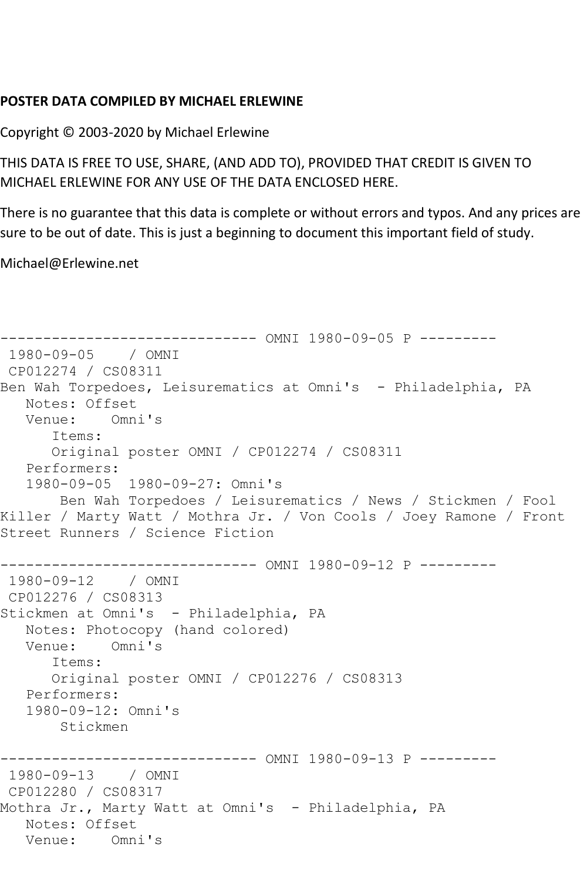## **POSTER DATA COMPILED BY MICHAEL ERLEWINE**

Copyright © 2003-2020 by Michael Erlewine

THIS DATA IS FREE TO USE, SHARE, (AND ADD TO), PROVIDED THAT CREDIT IS GIVEN TO MICHAEL ERLEWINE FOR ANY USE OF THE DATA ENCLOSED HERE.

There is no guarantee that this data is complete or without errors and typos. And any prices are sure to be out of date. This is just a beginning to document this important field of study.

Michael@Erlewine.net

```
------------------------------ OMNI 1980-09-05 P ---------
1980-09-05 / OMNI 
CP012274 / CS08311
Ben Wah Torpedoes, Leisurematics at Omni's - Philadelphia, PA
   Notes: Offset
   Venue: Omni's
      Items:
      Original poster OMNI / CP012274 / CS08311
   Performers:
   1980-09-05 1980-09-27: Omni's
       Ben Wah Torpedoes / Leisurematics / News / Stickmen / Fool 
Killer / Marty Watt / Mothra Jr. / Von Cools / Joey Ramone / Front 
Street Runners / Science Fiction
------------------------------ OMNI 1980-09-12 P ---------
1980-09-12 / OMNI 
CP012276 / CS08313
Stickmen at Omni's - Philadelphia, PA
   Notes: Photocopy (hand colored)
   Venue: Omni's
      Items:
      Original poster OMNI / CP012276 / CS08313
   Performers:
   1980-09-12: Omni's
       Stickmen
------------------------------ OMNI 1980-09-13 P ---------
1980-09-13 / OMNI 
CP012280 / CS08317
Mothra Jr., Marty Watt at Omni's - Philadelphia, PA
   Notes: Offset
   Venue: Omni's
```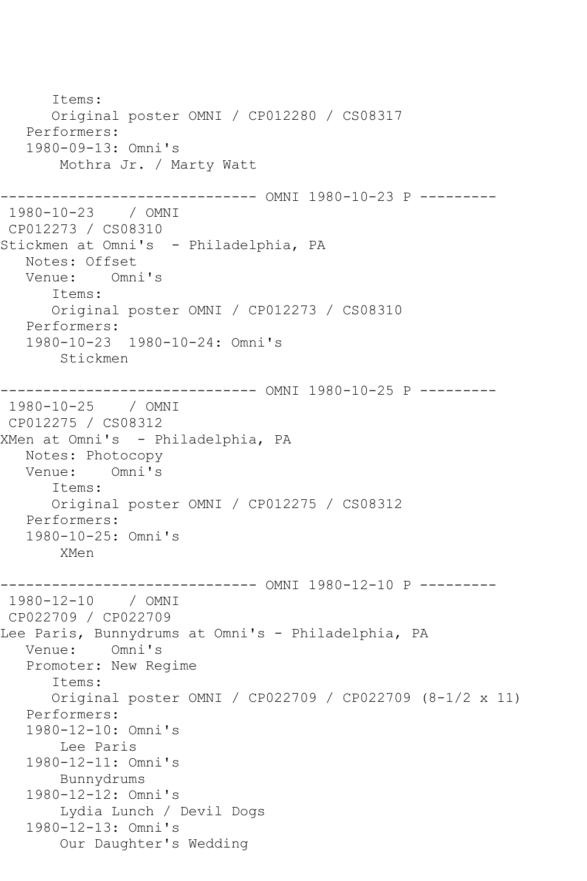```
 Items:
       Original poster OMNI / CP012280 / CS08317
   Performers:
    1980-09-13: Omni's
        Mothra Jr. / Marty Watt
------------------------------ OMNI 1980-10-23 P ---------
1980-10-23 / OMNI 
CP012273 / CS08310
Stickmen at Omni's - Philadelphia, PA
   Notes: Offset
   Venue: Omni's
       Items:
       Original poster OMNI / CP012273 / CS08310
   Performers:
    1980-10-23 1980-10-24: Omni's
        Stickmen
    ------------------------------ OMNI 1980-10-25 P ---------
1980-10-25 / OMNI 
CP012275 / CS08312
XMen at Omni's - Philadelphia, PA
  Notes: Photocopy<br>Venue: Omni's
           Omni's
       Items:
       Original poster OMNI / CP012275 / CS08312
   Performers:
    1980-10-25: Omni's
        XMen
------------------------------ OMNI 1980-12-10 P ---------
1980-12-10 / OMNI 
CP022709 / CP022709
Lee Paris, Bunnydrums at Omni's - Philadelphia, PA
   Venue: Omni's
    Promoter: New Regime
       Items:
       Original poster OMNI / CP022709 / CP022709 (8-1/2 x 11)
   Performers:
    1980-12-10: Omni's
        Lee Paris
    1980-12-11: Omni's
        Bunnydrums
    1980-12-12: Omni's
        Lydia Lunch / Devil Dogs
    1980-12-13: Omni's
        Our Daughter's Wedding
```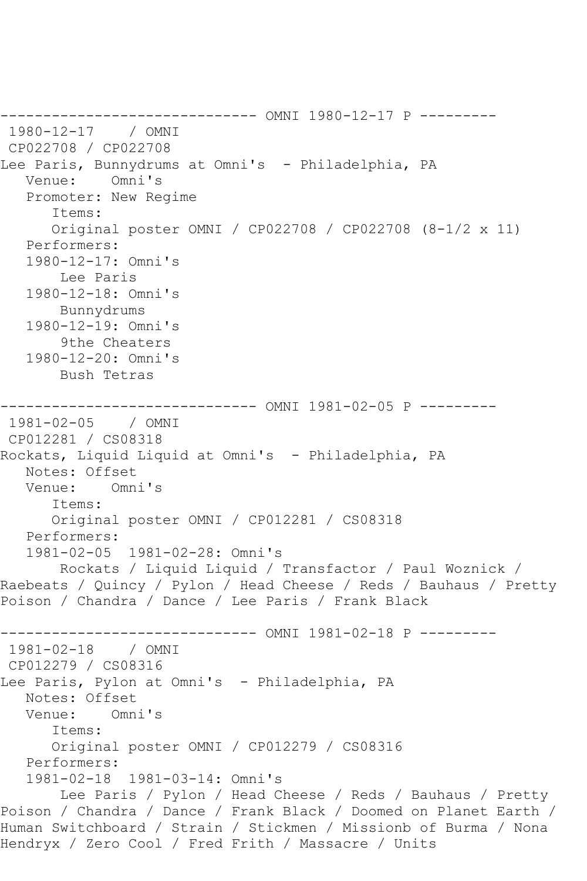------------------------------ OMNI 1980-12-17 P --------- 1980-12-17 / OMNI CP022708 / CP022708 Lee Paris, Bunnydrums at Omni's - Philadelphia, PA Venue: Omni's Promoter: New Regime Items: Original poster OMNI / CP022708 / CP022708 (8-1/2 x 11) Performers: 1980-12-17: Omni's Lee Paris 1980-12-18: Omni's Bunnydrums 1980-12-19: Omni's 9the Cheaters 1980-12-20: Omni's Bush Tetras ------------------------------ OMNI 1981-02-05 P --------- 1981-02-05 / OMNI CP012281 / CS08318 Rockats, Liquid Liquid at Omni's - Philadelphia, PA Notes: Offset Venue: Omni's Items: Original poster OMNI / CP012281 / CS08318 Performers: 1981-02-05 1981-02-28: Omni's Rockats / Liquid Liquid / Transfactor / Paul Woznick / Raebeats / Quincy / Pylon / Head Cheese / Reds / Bauhaus / Pretty Poison / Chandra / Dance / Lee Paris / Frank Black ------------------------------ OMNI 1981-02-18 P --------- 1981-02-18 / OMNI CP012279 / CS08316 Lee Paris, Pylon at Omni's - Philadelphia, PA Notes: Offset Venue: Omni's Items: Original poster OMNI / CP012279 / CS08316 Performers: 1981-02-18 1981-03-14: Omni's Lee Paris / Pylon / Head Cheese / Reds / Bauhaus / Pretty Poison / Chandra / Dance / Frank Black / Doomed on Planet Earth / Human Switchboard / Strain / Stickmen / Missionb of Burma / Nona Hendryx / Zero Cool / Fred Frith / Massacre / Units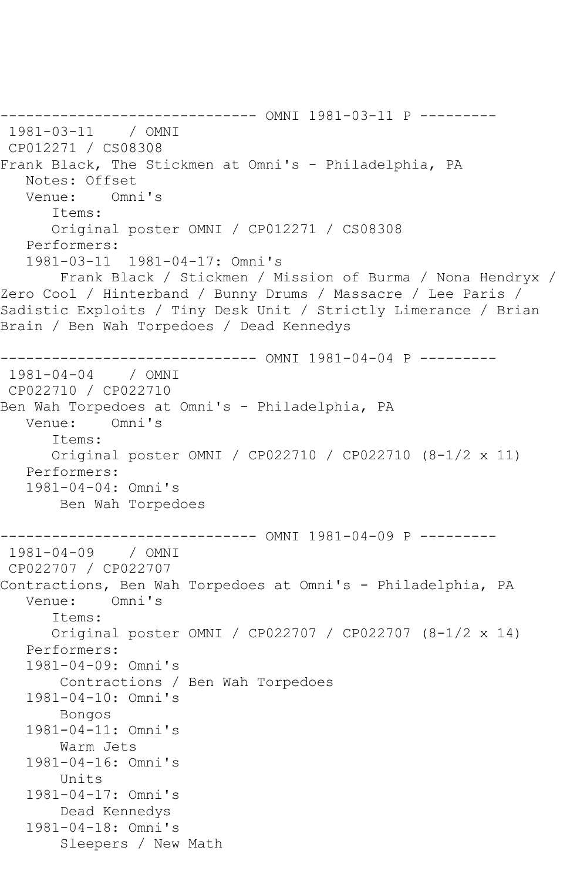------------------------------ OMNI 1981-03-11 P --------- 1981-03-11 / OMNI CP012271 / CS08308 Frank Black, The Stickmen at Omni's - Philadelphia, PA Notes: Offset Venue: Omni's Items: Original poster OMNI / CP012271 / CS08308 Performers: 1981-03-11 1981-04-17: Omni's Frank Black / Stickmen / Mission of Burma / Nona Hendryx / Zero Cool / Hinterband / Bunny Drums / Massacre / Lee Paris / Sadistic Exploits / Tiny Desk Unit / Strictly Limerance / Brian Brain / Ben Wah Torpedoes / Dead Kennedys ------------------------------ OMNI 1981-04-04 P --------- 1981-04-04 / OMNI CP022710 / CP022710 Ben Wah Torpedoes at Omni's - Philadelphia, PA<br>Venue: Omni's Omni's Items: Original poster OMNI / CP022710 / CP022710 (8-1/2 x 11) Performers: 1981-04-04: Omni's Ben Wah Torpedoes ------------------------------ OMNI 1981-04-09 P ---------  $1981 - 04 - 09$ CP022707 / CP022707 Contractions, Ben Wah Torpedoes at Omni's - Philadelphia, PA Venue: Omni's Items: Original poster OMNI / CP022707 / CP022707 (8-1/2 x 14) Performers: 1981-04-09: Omni's Contractions / Ben Wah Torpedoes 1981-04-10: Omni's Bongos 1981-04-11: Omni's Warm Jets 1981-04-16: Omni's Units 1981-04-17: Omni's Dead Kennedys 1981-04-18: Omni's Sleepers / New Math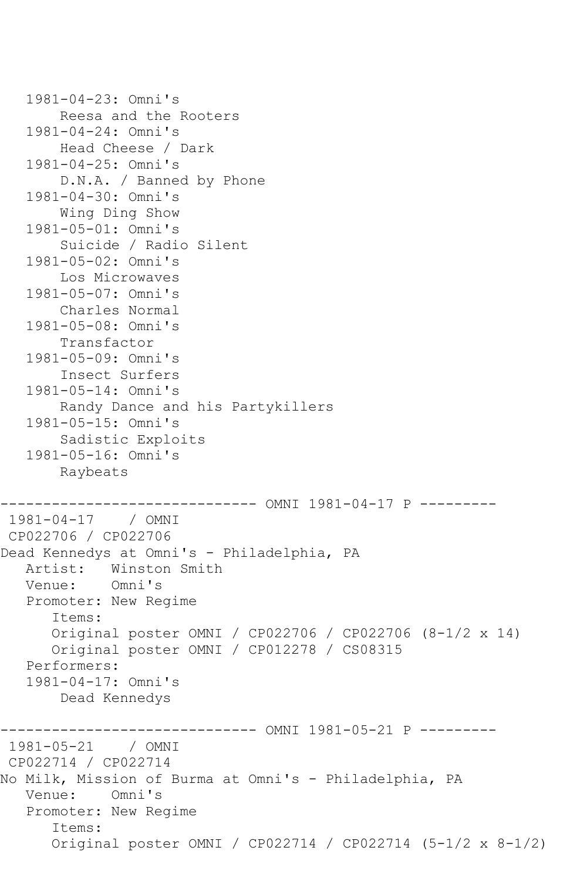```
 1981-04-23: Omni's
        Reesa and the Rooters
    1981-04-24: Omni's
        Head Cheese / Dark
    1981-04-25: Omni's
        D.N.A. / Banned by Phone
    1981-04-30: Omni's
        Wing Ding Show
    1981-05-01: Omni's
        Suicide / Radio Silent
    1981-05-02: Omni's
        Los Microwaves
    1981-05-07: Omni's
        Charles Normal
    1981-05-08: Omni's
        Transfactor
    1981-05-09: Omni's
        Insect Surfers
    1981-05-14: Omni's
        Randy Dance and his Partykillers
    1981-05-15: Omni's
        Sadistic Exploits
    1981-05-16: Omni's
        Raybeats
                  ------------------------------ OMNI 1981-04-17 P ---------
1981-04-17 / OMNI 
CP022706 / CP022706
Dead Kennedys at Omni's - Philadelphia, PA
  Artist: Winston Smith<br>Venue: Omni's
  Venue:
    Promoter: New Regime
       Items:
       Original poster OMNI / CP022706 / CP022706 (8-1/2 x 14)
       Original poster OMNI / CP012278 / CS08315
    Performers:
    1981-04-17: Omni's
        Dead Kennedys
------------------------------ OMNI 1981-05-21 P ---------
1981-05-21 / OMNI 
CP022714 / CP022714
No Milk, Mission of Burma at Omni's - Philadelphia, PA
   Venue: Omni's
   Promoter: New Regime
       Items:
       Original poster OMNI / CP022714 / CP022714 (5-1/2 x 8-1/2)
```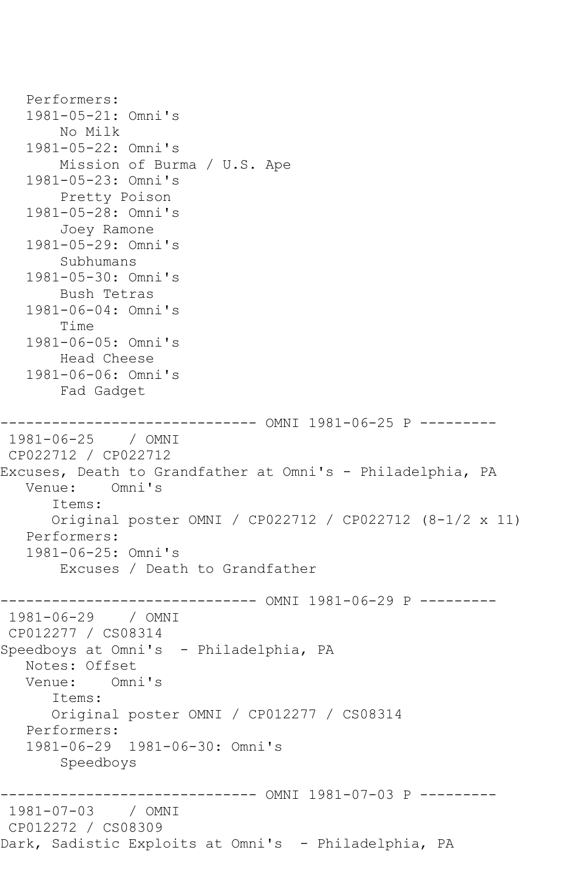```
 Performers:
    1981-05-21: Omni's
        No Milk
    1981-05-22: Omni's
        Mission of Burma / U.S. Ape
    1981-05-23: Omni's
        Pretty Poison
    1981-05-28: Omni's
        Joey Ramone
    1981-05-29: Omni's
        Subhumans
    1981-05-30: Omni's
        Bush Tetras
    1981-06-04: Omni's
        Time
    1981-06-05: Omni's
        Head Cheese
    1981-06-06: Omni's
        Fad Gadget
------------------------------ OMNI 1981-06-25 P ---------
1981-06-25 / OMNI 
CP022712 / CP022712
Excuses, Death to Grandfather at Omni's - Philadelphia, PA
   Venue: Omni's
       Items:
       Original poster OMNI / CP022712 / CP022712 (8-1/2 x 11)
   Performers:
    1981-06-25: Omni's
        Excuses / Death to Grandfather
         ------------------------------ OMNI 1981-06-29 P ---------
1981-06-29 / OMNI 
CP012277 / CS08314
Speedboys at Omni's - Philadelphia, PA
   Notes: Offset
   Venue: Omni's
       Items:
       Original poster OMNI / CP012277 / CS08314
   Performers:
    1981-06-29 1981-06-30: Omni's
        Speedboys
                     ---------- OMNI 1981-07-03 P ---------
1981-07-03 / OMNI 
CP012272 / CS08309
Dark, Sadistic Exploits at Omni's - Philadelphia, PA
```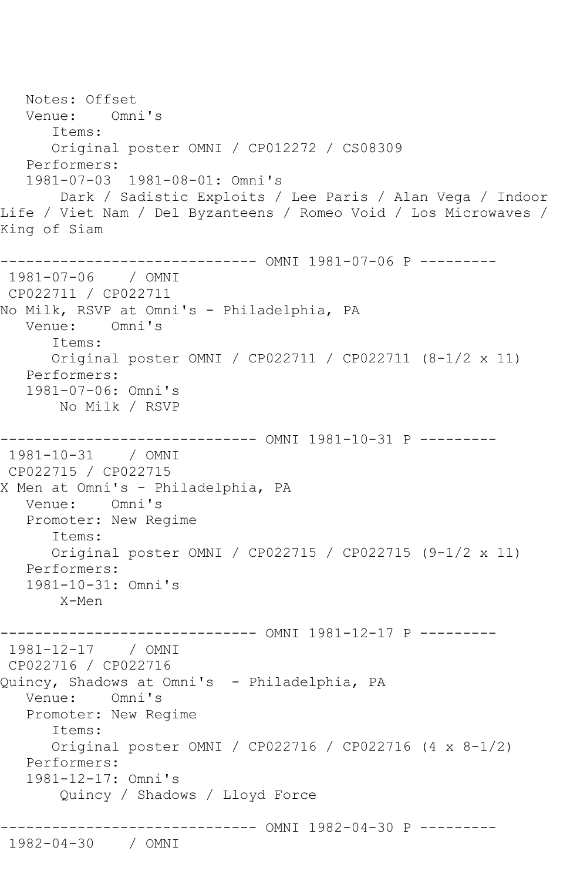Notes: Offset Venue: Omni's Items: Original poster OMNI / CP012272 / CS08309 Performers: 1981-07-03 1981-08-01: Omni's Dark / Sadistic Exploits / Lee Paris / Alan Vega / Indoor Life / Viet Nam / Del Byzanteens / Romeo Void / Los Microwaves / King of Siam ------------------------------ OMNI 1981-07-06 P --------- 1981-07-06 / OMNI CP022711 / CP022711 No Milk, RSVP at Omni's - Philadelphia, PA Venue: Omni's Items: Original poster OMNI / CP022711 / CP022711 (8-1/2 x 11) Performers: 1981-07-06: Omni's No Milk / RSVP ------------------------------ OMNI 1981-10-31 P --------- 1981-10-31 / OMNI CP022715 / CP022715 X Men at Omni's - Philadelphia, PA Venue: Omni's Promoter: New Regime Items: Original poster OMNI / CP022715 / CP022715 (9-1/2 x 11) Performers: 1981-10-31: Omni's X-Men ------------------------------ OMNI 1981-12-17 P --------- 1981-12-17 / OMNI CP022716 / CP022716 Quincy, Shadows at Omni's - Philadelphia, PA Venue: Omni's Promoter: New Regime Items: Original poster OMNI / CP022716 / CP022716 (4 x 8-1/2) Performers: 1981-12-17: Omni's Quincy / Shadows / Lloyd Force ------------------------------ OMNI 1982-04-30 P --------- 1982-04-30 / OMNI